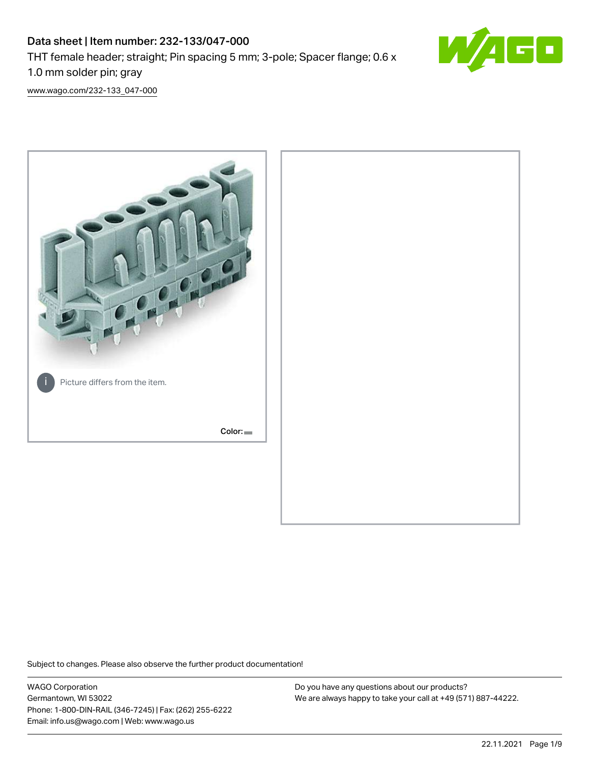# Data sheet | Item number: 232-133/047-000 THT female header; straight; Pin spacing 5 mm; 3-pole; Spacer flange; 0.6 x 1.0 mm solder pin; gray



[www.wago.com/232-133\\_047-000](http://www.wago.com/232-133_047-000)



Subject to changes. Please also observe the further product documentation!

WAGO Corporation Germantown, WI 53022 Phone: 1-800-DIN-RAIL (346-7245) | Fax: (262) 255-6222 Email: info.us@wago.com | Web: www.wago.us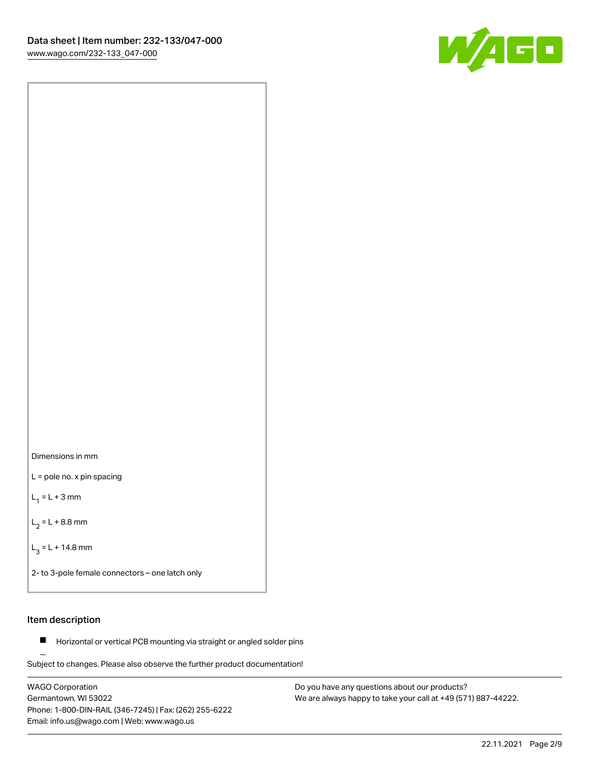



L = pole no. x pin spacing

 $L_1 = L + 3$  mm

 $L_2 = L + 8.8$  mm

 $L_3 = L + 14.8$  mm

2- to 3-pole female connectors – one latch only

# Item description

**Horizontal or vertical PCB mounting via straight or angled solder pins** 

Subject to changes. Please also observe the further product documentation! For board-to-board and board-to-wire connections

WAGO Corporation Germantown, WI 53022 Phone: 1-800-DIN-RAIL (346-7245) | Fax: (262) 255-6222 Email: info.us@wago.com | Web: www.wago.us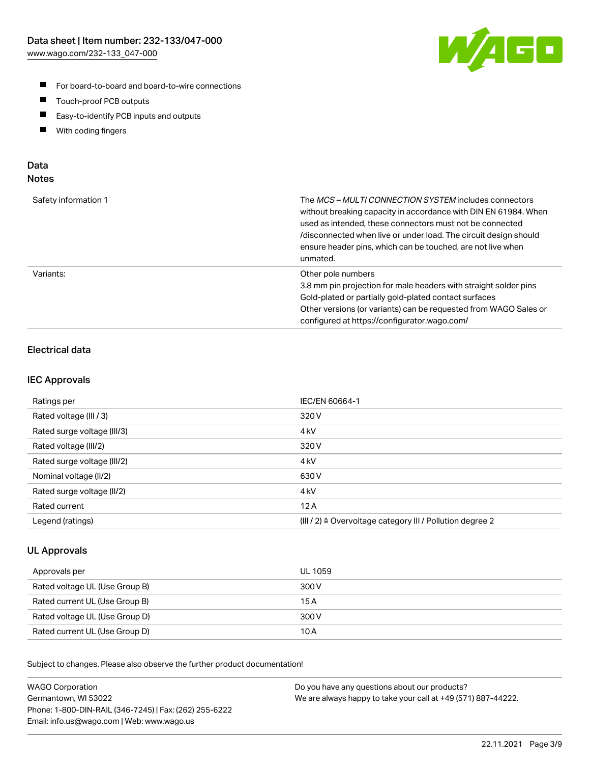

- For board-to-board and board-to-wire connections
- $\blacksquare$ Touch-proof PCB outputs
- $\blacksquare$ Easy-to-identify PCB inputs and outputs
- $\blacksquare$ With coding fingers

# Data **Notes**

| Safety information 1 | The <i>MCS – MULTI CONNECTION SYSTEM</i> includes connectors<br>without breaking capacity in accordance with DIN EN 61984. When<br>used as intended, these connectors must not be connected<br>/disconnected when live or under load. The circuit design should<br>ensure header pins, which can be touched, are not live when<br>unmated. |
|----------------------|--------------------------------------------------------------------------------------------------------------------------------------------------------------------------------------------------------------------------------------------------------------------------------------------------------------------------------------------|
| Variants:            | Other pole numbers<br>3.8 mm pin projection for male headers with straight solder pins<br>Gold-plated or partially gold-plated contact surfaces<br>Other versions (or variants) can be requested from WAGO Sales or<br>configured at https://configurator.wago.com/                                                                        |

# Electrical data

# IEC Approvals

| Ratings per                 | IEC/EN 60664-1                                                        |
|-----------------------------|-----------------------------------------------------------------------|
| Rated voltage (III / 3)     | 320 V                                                                 |
| Rated surge voltage (III/3) | 4 <sub>k</sub> V                                                      |
| Rated voltage (III/2)       | 320 V                                                                 |
| Rated surge voltage (III/2) | 4 <sub>k</sub> V                                                      |
| Nominal voltage (II/2)      | 630 V                                                                 |
| Rated surge voltage (II/2)  | 4 <sub>kV</sub>                                                       |
| Rated current               | 12A                                                                   |
| Legend (ratings)            | $(III / 2)$ $\triangle$ Overvoltage category III / Pollution degree 2 |

# UL Approvals

| Approvals per                  | UL 1059 |
|--------------------------------|---------|
| Rated voltage UL (Use Group B) | 300 V   |
| Rated current UL (Use Group B) | 15 A    |
| Rated voltage UL (Use Group D) | 300 V   |
| Rated current UL (Use Group D) | 10 A    |

Subject to changes. Please also observe the further product documentation!

| <b>WAGO Corporation</b>                                | Do you have any questions about our products?                 |
|--------------------------------------------------------|---------------------------------------------------------------|
| Germantown, WI 53022                                   | We are always happy to take your call at +49 (571) 887-44222. |
| Phone: 1-800-DIN-RAIL (346-7245)   Fax: (262) 255-6222 |                                                               |
| Email: info.us@wago.com   Web: www.wago.us             |                                                               |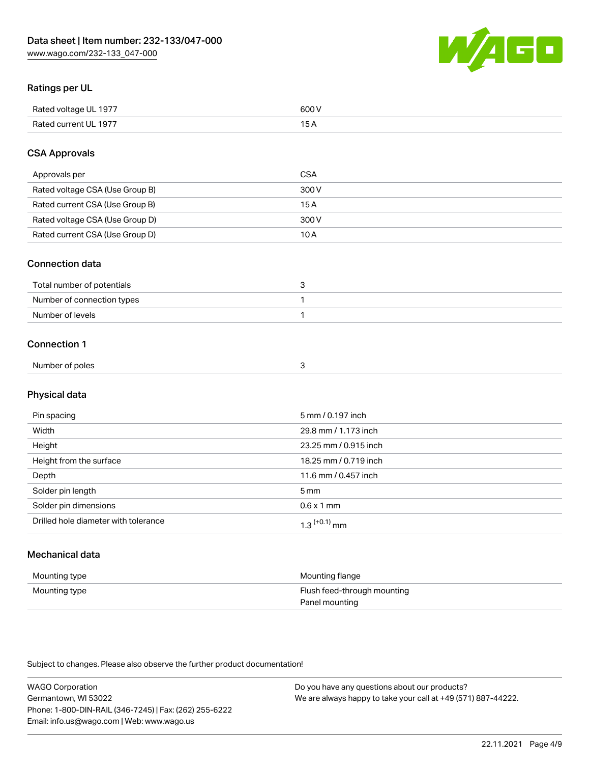

# Ratings per UL

| Rated voltage UL 1977 | 600   |
|-----------------------|-------|
| Rated current UL 1977 | . O F |

# CSA Approvals

| Approvals per                   | CSA   |
|---------------------------------|-------|
| Rated voltage CSA (Use Group B) | 300 V |
| Rated current CSA (Use Group B) | 15 A  |
| Rated voltage CSA (Use Group D) | 300 V |
| Rated current CSA (Use Group D) | 10 A  |

### Connection data

| Total number of potentials |  |
|----------------------------|--|
| Number of connection types |  |
| Number of levels           |  |

### Connection 1

| Number of poles |  |
|-----------------|--|
|                 |  |

# Physical data

| Pin spacing                          | 5 mm / 0.197 inch     |
|--------------------------------------|-----------------------|
| Width                                | 29.8 mm / 1.173 inch  |
| Height                               | 23.25 mm / 0.915 inch |
| Height from the surface              | 18.25 mm / 0.719 inch |
| Depth                                | 11.6 mm / 0.457 inch  |
| Solder pin length                    | 5 <sub>mm</sub>       |
| Solder pin dimensions                | $0.6 \times 1$ mm     |
| Drilled hole diameter with tolerance | $1.3$ $(+0.1)$ mm     |

# Mechanical data

| Mounting type | Mounting flange             |
|---------------|-----------------------------|
| Mounting type | Flush feed-through mounting |
|               | Panel mounting              |

Subject to changes. Please also observe the further product documentation!

| <b>WAGO Corporation</b>                                | Do you have any questions about our products?                 |
|--------------------------------------------------------|---------------------------------------------------------------|
| Germantown, WI 53022                                   | We are always happy to take your call at +49 (571) 887-44222. |
| Phone: 1-800-DIN-RAIL (346-7245)   Fax: (262) 255-6222 |                                                               |
| Email: info.us@wago.com   Web: www.wago.us             |                                                               |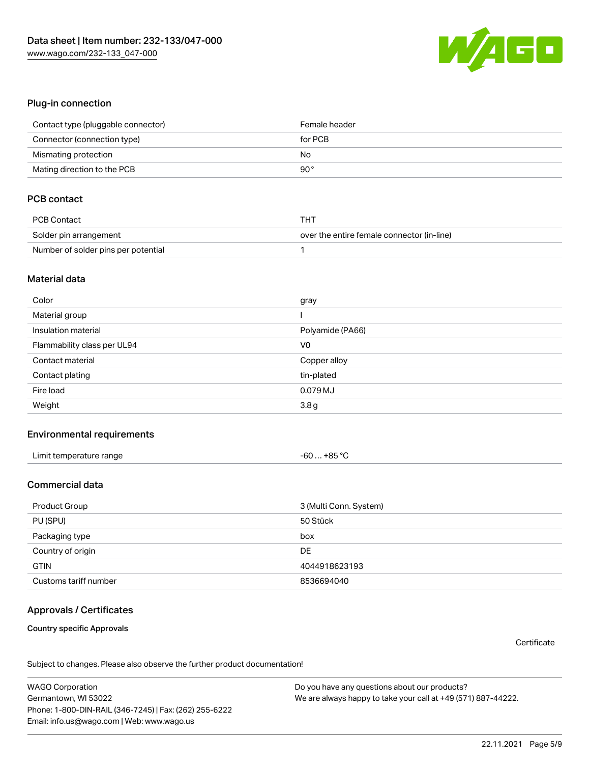

#### Plug-in connection

| Contact type (pluggable connector) | Female header |
|------------------------------------|---------------|
| Connector (connection type)        | for PCB       |
| Mismating protection               | No            |
| Mating direction to the PCB        | 90°           |

# PCB contact

| PCB Contact                         | тнт                                        |
|-------------------------------------|--------------------------------------------|
| Solder pin arrangement              | over the entire female connector (in-line) |
| Number of solder pins per potential |                                            |

#### Material data

| Color                       | gray             |
|-----------------------------|------------------|
| Material group              |                  |
| Insulation material         | Polyamide (PA66) |
| Flammability class per UL94 | V <sub>0</sub>   |
| Contact material            | Copper alloy     |
| Contact plating             | tin-plated       |
|                             |                  |
| Fire load                   | 0.079 MJ         |

### Environmental requirements

| Limit temperature range | -60  +85 °Ր |
|-------------------------|-------------|
|-------------------------|-------------|

# Commercial data

| Product Group         | 3 (Multi Conn. System) |
|-----------------------|------------------------|
| PU (SPU)              | 50 Stück               |
| Packaging type        | box                    |
| Country of origin     | DE                     |
| <b>GTIN</b>           | 4044918623193          |
| Customs tariff number | 8536694040             |

# Approvals / Certificates

#### Country specific Approvals

**Certificate** 

Subject to changes. Please also observe the further product documentation!

WAGO Corporation Germantown, WI 53022 Phone: 1-800-DIN-RAIL (346-7245) | Fax: (262) 255-6222 Email: info.us@wago.com | Web: www.wago.us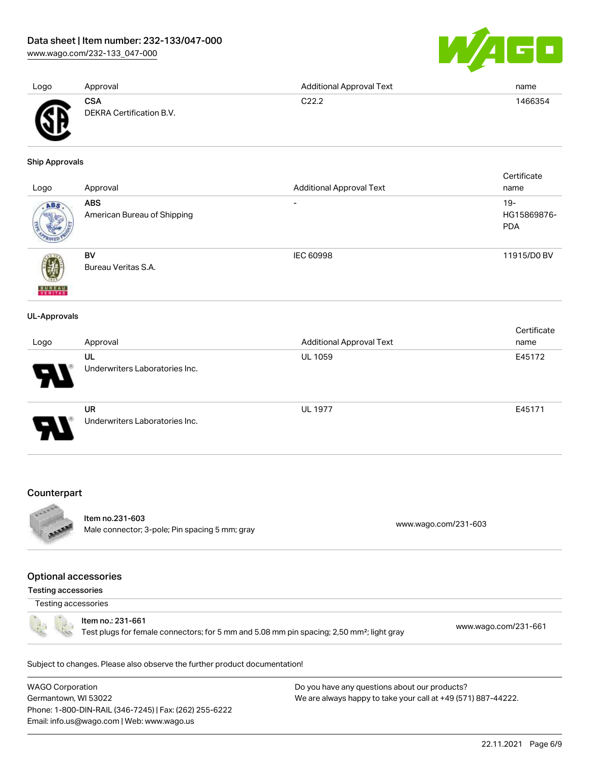[www.wago.com/232-133\\_047-000](http://www.wago.com/232-133_047-000)



| Logo           | Approval                               | <b>Additional Approval Text</b> | name    |
|----------------|----------------------------------------|---------------------------------|---------|
| <b>AN</b><br>▴ | <b>CSA</b><br>DEKRA Certification B.V. | C22.2                           | 1466354 |

#### Ship Approvals

|                          |                             |                                 | Certificate |
|--------------------------|-----------------------------|---------------------------------|-------------|
| Logo                     | Approval                    | <b>Additional Approval Text</b> | name        |
| ABS.                     | <b>ABS</b>                  | $\overline{\phantom{a}}$        | $19 -$      |
|                          | American Bureau of Shipping |                                 | HG15869876- |
|                          |                             |                                 | <b>PDA</b>  |
|                          | <b>BV</b>                   | <b>IEC 60998</b>                | 11915/D0 BV |
|                          | Bureau Veritas S.A.         |                                 |             |
|                          |                             |                                 |             |
| <b>BUREAU</b><br>VERITAS |                             |                                 |             |
| <b>UL-Approvals</b>      |                             |                                 |             |
|                          |                             |                                 | Certificate |
| Logo                     | Approval                    | <b>Additional Approval Text</b> | name        |
|                          | UL                          | <b>UL 1059</b>                  | E45172      |

| Counterpart |  |
|-------------|--|

UR



Item no.231-603 nem no.251-603<br>Male connector; 3-pole; Pin spacing 5 mm; gray [www.wago.com/231-603](https://www.wago.com/231-603)

Underwriters Laboratories Inc.

Underwriters Laboratories Inc.

UL 1977 **E45171** 

#### Optional accessories

Testing accessories

Testing accessories

Item no.: 231-661

Test plugs for female connectors; for 5 mm and 5.08 mm pin spacing; 2,50 mm²; light gray [www.wago.com/231-661](http://www.wago.com/231-661)

Subject to changes. Please also observe the further product documentation!

WAGO Corporation Germantown, WI 53022 Phone: 1-800-DIN-RAIL (346-7245) | Fax: (262) 255-6222 Email: info.us@wago.com | Web: www.wago.us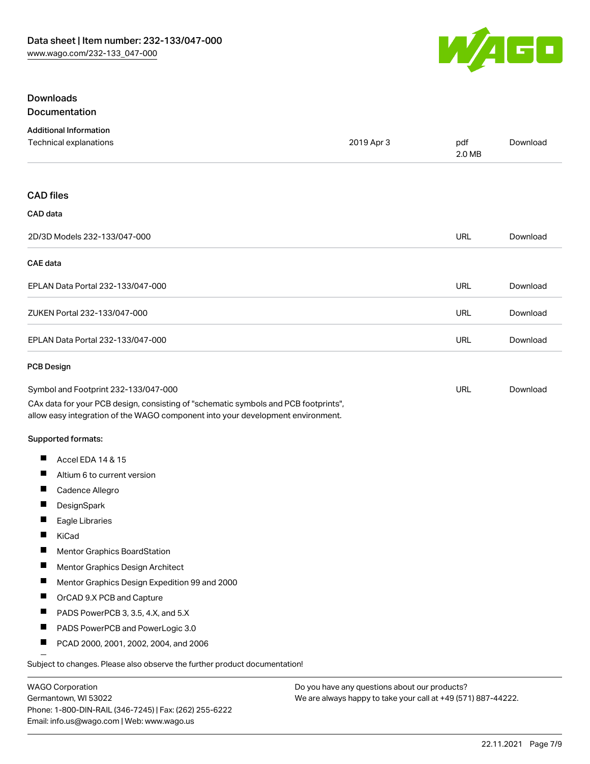

# Downloads Documentation

| <b>Additional Information</b>                                                                                                                                          |            |               |          |
|------------------------------------------------------------------------------------------------------------------------------------------------------------------------|------------|---------------|----------|
| Technical explanations                                                                                                                                                 | 2019 Apr 3 | pdf<br>2.0 MB | Download |
| <b>CAD files</b>                                                                                                                                                       |            |               |          |
| CAD data                                                                                                                                                               |            |               |          |
| 2D/3D Models 232-133/047-000                                                                                                                                           |            | URL           | Download |
| CAE data                                                                                                                                                               |            |               |          |
| EPLAN Data Portal 232-133/047-000                                                                                                                                      |            | URL           | Download |
| ZUKEN Portal 232-133/047-000                                                                                                                                           |            | <b>URL</b>    | Download |
| EPLAN Data Portal 232-133/047-000                                                                                                                                      |            | URL           | Download |
| <b>PCB Design</b>                                                                                                                                                      |            |               |          |
| Symbol and Footprint 232-133/047-000                                                                                                                                   |            | <b>URL</b>    | Download |
| CAx data for your PCB design, consisting of "schematic symbols and PCB footprints",<br>allow easy integration of the WAGO component into your development environment. |            |               |          |
| Supported formats:                                                                                                                                                     |            |               |          |
| ш<br>Accel EDA 14 & 15                                                                                                                                                 |            |               |          |
| Ш<br>Altium 6 to current version                                                                                                                                       |            |               |          |
| ш<br>Cadence Allegro                                                                                                                                                   |            |               |          |
| П<br>DesignSpark                                                                                                                                                       |            |               |          |
| Ш<br>Eagle Libraries                                                                                                                                                   |            |               |          |
| KiCad                                                                                                                                                                  |            |               |          |
| H<br>Mentor Graphics BoardStation                                                                                                                                      |            |               |          |
| ш<br>Mentor Graphics Design Architect                                                                                                                                  |            |               |          |
| ш<br>Mentor Graphics Design Expedition 99 and 2000                                                                                                                     |            |               |          |
| ш<br>OrCAD 9.X PCB and Capture                                                                                                                                         |            |               |          |
| ш<br>PADS PowerPCB 3, 3.5, 4.X, and 5.X                                                                                                                                |            |               |          |
| H.<br>PADS PowerPCB and PowerLogic 3.0                                                                                                                                 |            |               |          |
| PCAD 2000, 2001, 2002, 2004, and 2006<br>ш                                                                                                                             |            |               |          |
| Subject to changes. Please also observe the further product documentation!                                                                                             |            |               |          |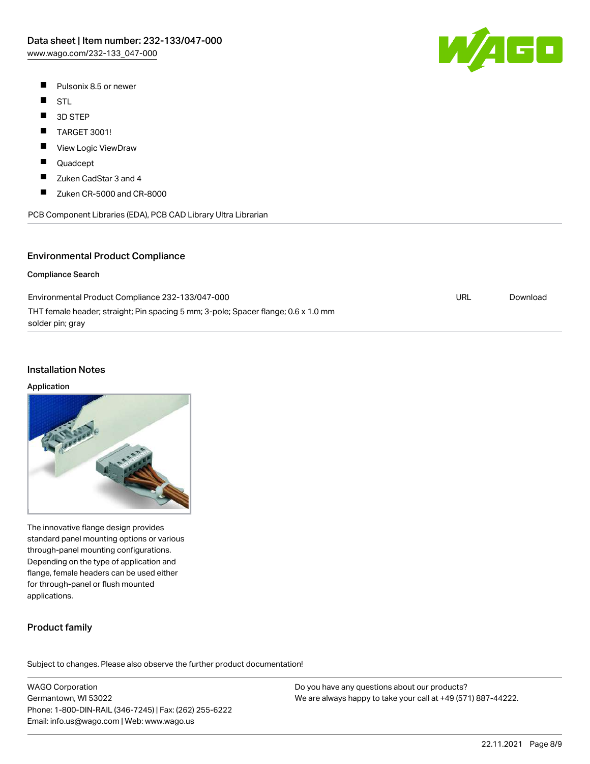- $\blacksquare$ Pulsonix 8.5 or newer
- $\blacksquare$ **STL**
- $\blacksquare$ 3D STEP
- TARGET 3001!
- П View Logic ViewDraw
- П Quadcept
- $\blacksquare$ Zuken CadStar 3 and 4
- $\blacksquare$ Zuken CR-5000 and CR-8000



# Environmental Product Compliance

#### Compliance Search

| Environmental Product Compliance 232-133/047-000                                   | URL | Download |
|------------------------------------------------------------------------------------|-----|----------|
| THT female header; straight; Pin spacing 5 mm; 3-pole; Spacer flange; 0.6 x 1.0 mm |     |          |
| solder pin; gray                                                                   |     |          |

#### Installation Notes

#### Application



The innovative flange design provides standard panel mounting options or various through-panel mounting configurations. Depending on the type of application and flange, female headers can be used either for through-panel or flush mounted applications.

# Product family

Subject to changes. Please also observe the further product documentation!

WAGO Corporation Germantown, WI 53022 Phone: 1-800-DIN-RAIL (346-7245) | Fax: (262) 255-6222 Email: info.us@wago.com | Web: www.wago.us